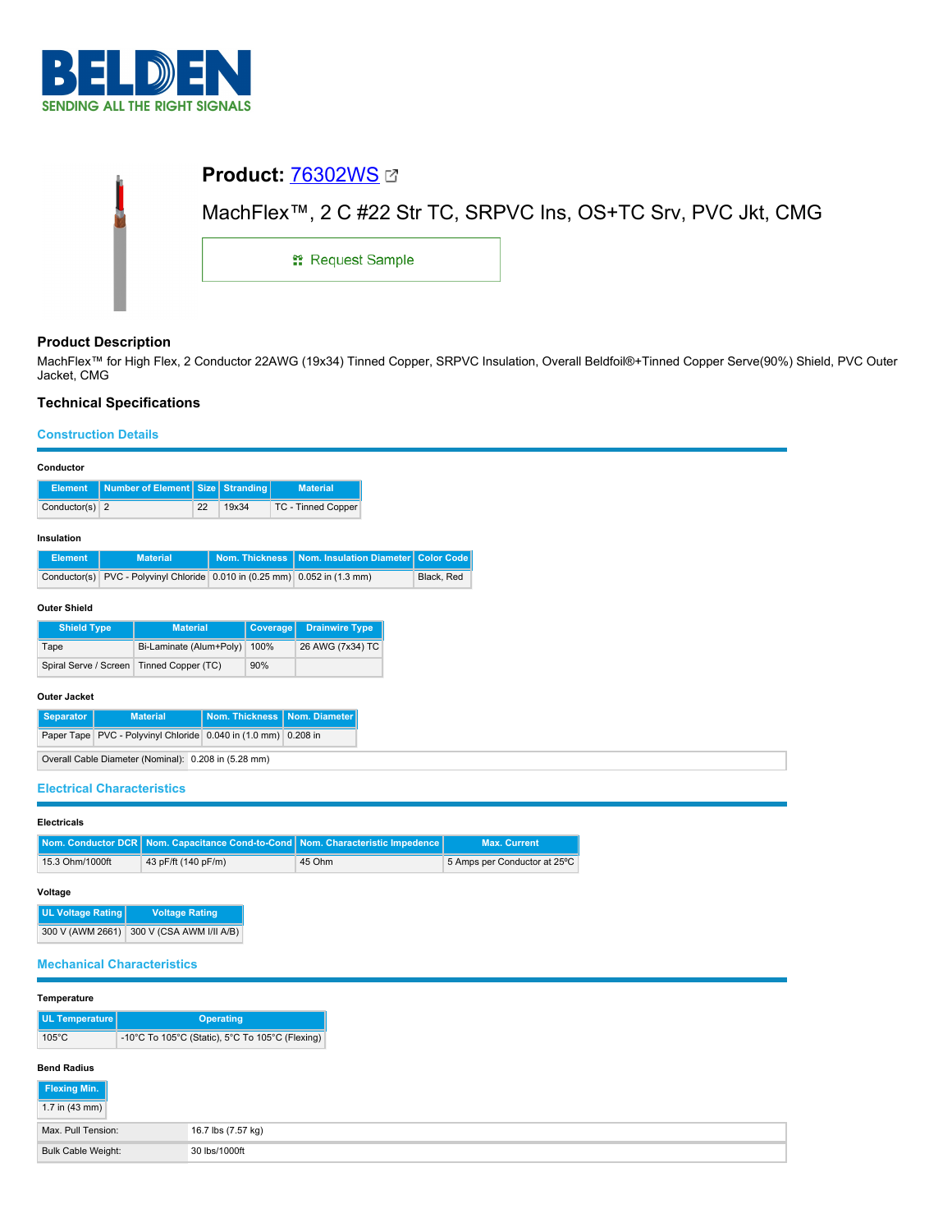

| <b>Product: 76302WS 27</b>                                    |                         |  |  |
|---------------------------------------------------------------|-------------------------|--|--|
| MachFlex™, 2 C #22 Str TC, SRPVC Ins, OS+TC Srv, PVC Jkt, CMG |                         |  |  |
|                                                               | <b>: Request Sample</b> |  |  |
|                                                               |                         |  |  |

# **Product Description**

MachFlex™ for High Flex, 2 Conductor 22AWG (19x34) Tinned Copper, SRPVC Insulation, Overall Beldfoil®+Tinned Copper Serve(90%) Shield, PVC Outer Jacket, CMG

# **Technical Specifications**

### **Construction Details**

| Conductor                                                              |  |                          |      |                       |                 |                                                               |                   |
|------------------------------------------------------------------------|--|--------------------------|------|-----------------------|-----------------|---------------------------------------------------------------|-------------------|
| <b>Element</b>                                                         |  | <b>Number of Element</b> | Size | Stranding             |                 | <b>Material</b>                                               |                   |
| Conductor(s) $2$                                                       |  |                          | 22   | 19x34                 |                 | TC - Tinned Copper                                            |                   |
| Insulation                                                             |  |                          |      |                       |                 |                                                               |                   |
| <b>Element</b>                                                         |  | <b>Material</b>          |      | <b>Nom. Thickness</b> |                 | Nom. Insulation Diameter                                      | <b>Color Code</b> |
| Conductor(s)                                                           |  |                          |      |                       |                 | PVC - Polyvinyl Chloride 0.010 in (0.25 mm) 0.052 in (1.3 mm) | Black, Red        |
| <b>Outer Shield</b>                                                    |  |                          |      |                       |                 |                                                               |                   |
| <b>Shield Type</b>                                                     |  | <b>Material</b>          |      |                       | <b>Coverage</b> | <b>Drainwire Type</b>                                         |                   |
| Tape                                                                   |  | Bi-Laminate (Alum+Poly)  |      |                       | 100%            | 26 AWG (7x34) TC                                              |                   |
| Spiral Serve / Screen                                                  |  | Tinned Copper (TC)       |      |                       | 90%             |                                                               |                   |
| <b>Outer Jacket</b>                                                    |  |                          |      |                       |                 |                                                               |                   |
| Nom. Thickness<br>Nom. Diameter<br><b>Separator</b><br><b>Material</b> |  |                          |      |                       |                 |                                                               |                   |
| Paper Tape PVC - Polyvinyl Chloride 0.040 in (1.0 mm) 0.208 in         |  |                          |      |                       |                 |                                                               |                   |
| Overall Cable Diameter (Nominal): 0.208 in (5.28 mm)                   |  |                          |      |                       |                 |                                                               |                   |

## **Electrical Characteristics**

| <b>Electricals</b> |                                                                                    |        |                              |  |  |
|--------------------|------------------------------------------------------------------------------------|--------|------------------------------|--|--|
|                    | Nom. Conductor DCR   Nom. Capacitance Cond-to-Cond   Nom. Characteristic Impedence |        | <b>Max. Current</b>          |  |  |
| 15.3 Ohm/1000ft    | 43 pF/ft (140 pF/m)                                                                | 45 Ohm | 5 Amps per Conductor at 25°C |  |  |

#### **Voltage**

| <b>UL Voltage Rating</b> | <b>Voltage Rating</b>    |
|--------------------------|--------------------------|
| 300 V (AWM 2661)         | 300 V (CSA AWM I/II A/B) |

## **Mechanical Characteristics**

|  | Temperature |
|--|-------------|
|--|-------------|

| UL Temperature  | <b>Operating</b>                                |
|-----------------|-------------------------------------------------|
| $105^{\circ}$ C | -10°C To 105°C (Static), 5°C To 105°C (Flexing) |

# **Bend Radius**

| Flexing Min.             |                    |
|--------------------------|--------------------|
| 1.7 in $(43 \text{ mm})$ |                    |
| Max. Pull Tension:       | 16.7 lbs (7.57 kg) |
| Bulk Cable Weight:       | 30 lbs/1000ft      |